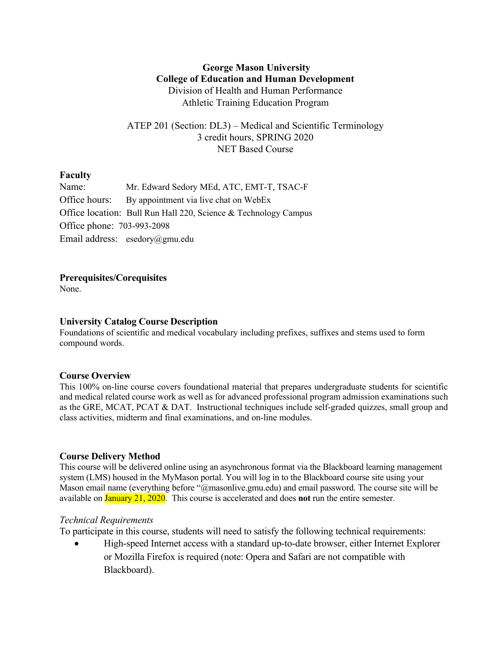# **George Mason University College of Education and Human Development** Division of Health and Human Performance Athletic Training Education Program

ATEP 201 (Section: DL3) – Medical and Scientific Terminology 3 credit hours, SPRING 2020 NET Based Course

# **Faculty**

| Name:                      | Mr. Edward Sedory MEd, ATC, EMT-T, TSAC-F                       |  |  |  |  |  |  |
|----------------------------|-----------------------------------------------------------------|--|--|--|--|--|--|
|                            | Office hours: By appointment via live chat on WebEx             |  |  |  |  |  |  |
|                            | Office location: Bull Run Hall 220, Science & Technology Campus |  |  |  |  |  |  |
| Office phone: 703-993-2098 |                                                                 |  |  |  |  |  |  |
|                            | Email address: esedory@gmu.edu                                  |  |  |  |  |  |  |

### **Prerequisites/Corequisites**

None.

# **University Catalog Course Description**

Foundations of scientific and medical vocabulary including prefixes, suffixes and stems used to form compound words.

# **Course Overview**

This 100% on-line course covers foundational material that prepares undergraduate students for scientific and medical related course work as well as for advanced professional program admission examinations such as the GRE, MCAT, PCAT & DAT. Instructional techniques include self-graded quizzes, small group and class activities, midterm and final examinations, and on-line modules.

# **Course Delivery Method**

This course will be delivered online using an asynchronous format via the Blackboard learning management system (LMS) housed in the MyMason portal. You will log in to the Blackboard course site using your Mason email name (everything before "@masonlive.gmu.edu) and email password. The course site will be available on January 21, 2020. This course is accelerated and does **not** run the entire semester.

### *Technical Requirements*

To participate in this course, students will need to satisfy the following technical requirements:

• High-speed Internet access with a standard up-to-date browser, either Internet Explorer or Mozilla Firefox is required (note: Opera and Safari are not compatible with Blackboard).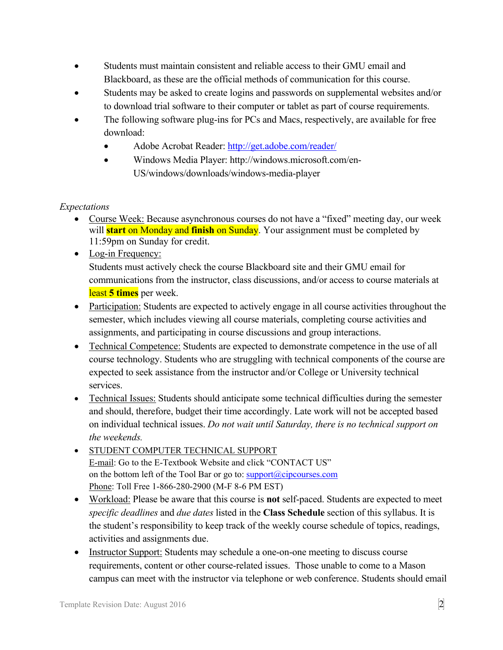- Students must maintain consistent and reliable access to their GMU email and Blackboard, as these are the official methods of communication for this course.
- Students may be asked to create logins and passwords on supplemental websites and/or to download trial software to their computer or tablet as part of course requirements.
- The following software plug-ins for PCs and Macs, respectively, are available for free download:
	- Adobe Acrobat Reader: http://get.adobe.com/reader/
	- Windows Media Player: http://windows.microsoft.com/en-US/windows/downloads/windows-media-player

# *Expectations*

- Course Week: Because asynchronous courses do not have a "fixed" meeting day, our week will **start** on Monday and **finish** on Sunday. Your assignment must be completed by 11:59pm on Sunday for credit.
- Log-in Frequency: Students must actively check the course Blackboard site and their GMU email for communications from the instructor, class discussions, and/or access to course materials at least **5 times** per week.
- Participation: Students are expected to actively engage in all course activities throughout the semester, which includes viewing all course materials, completing course activities and assignments, and participating in course discussions and group interactions.
- Technical Competence: Students are expected to demonstrate competence in the use of all course technology. Students who are struggling with technical components of the course are expected to seek assistance from the instructor and/or College or University technical services.
- Technical Issues: Students should anticipate some technical difficulties during the semester and should, therefore, budget their time accordingly. Late work will not be accepted based on individual technical issues. *Do not wait until Saturday, there is no technical support on the weekends.*
- STUDENT COMPUTER TECHNICAL SUPPORT E-mail: Go to the E-Textbook Website and click "CONTACT US" on the bottom left of the Tool Bar or go to:  $\text{support}(Qcipcourses.com$ Phone: Toll Free 1-866-280-2900 (M-F 8-6 PM EST)
- Workload: Please be aware that this course is **not** self-paced. Students are expected to meet *specific deadlines* and *due dates* listed in the **Class Schedule** section of this syllabus. It is the student's responsibility to keep track of the weekly course schedule of topics, readings, activities and assignments due.
- Instructor Support: Students may schedule a one-on-one meeting to discuss course requirements, content or other course-related issues. Those unable to come to a Mason campus can meet with the instructor via telephone or web conference. Students should email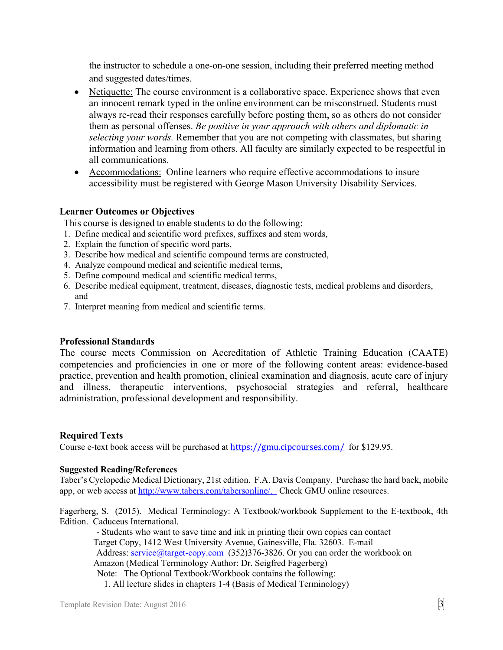the instructor to schedule a one-on-one session, including their preferred meeting method and suggested dates/times.

- Netiquette: The course environment is a collaborative space. Experience shows that even an innocent remark typed in the online environment can be misconstrued. Students must always re-read their responses carefully before posting them, so as others do not consider them as personal offenses. *Be positive in your approach with others and diplomatic in selecting your words.* Remember that you are not competing with classmates, but sharing information and learning from others. All faculty are similarly expected to be respectful in all communications.
- Accommodations: Online learners who require effective accommodations to insure accessibility must be registered with George Mason University Disability Services.

### **Learner Outcomes or Objectives**

This course is designed to enable students to do the following:

- 1. Define medical and scientific word prefixes, suffixes and stem words,
- 2. Explain the function of specific word parts,
- 3. Describe how medical and scientific compound terms are constructed,
- 4. Analyze compound medical and scientific medical terms,
- 5. Define compound medical and scientific medical terms,
- 6. Describe medical equipment, treatment, diseases, diagnostic tests, medical problems and disorders, and
- 7. Interpret meaning from medical and scientific terms.

### **Professional Standards**

The course meets Commission on Accreditation of Athletic Training Education (CAATE) competencies and proficiencies in one or more of the following content areas: evidence-based practice, prevention and health promotion, clinical examination and diagnosis, acute care of injury and illness, therapeutic interventions, psychosocial strategies and referral, healthcare administration, professional development and responsibility.

### **Required Texts**

Course e-text book access will be purchased at https://gmu.cipcourses.com/ for \$129.95.

#### **Suggested Reading/References**

Taber's Cyclopedic Medical Dictionary, 21st edition. F.A. Davis Company. Purchase the hard back, mobile app, or web access at http://www.tabers.com/tabersonline/. Check GMU online resources.

Fagerberg, S. (2015). Medical Terminology: A Textbook/workbook Supplement to the E-textbook, 4th Edition. Caduceus International.

- Students who want to save time and ink in printing their own copies can contact Target Copy, 1412 West University Avenue, Gainesville, Fla. 32603. E-mail Address: service@target-copy.com (352)376-3826. Or you can order the workbook on Amazon (Medical Terminology Author: Dr. Seigfred Fagerberg) Note: The Optional Textbook/Workbook contains the following: 1. All lecture slides in chapters 1-4 (Basis of Medical Terminology)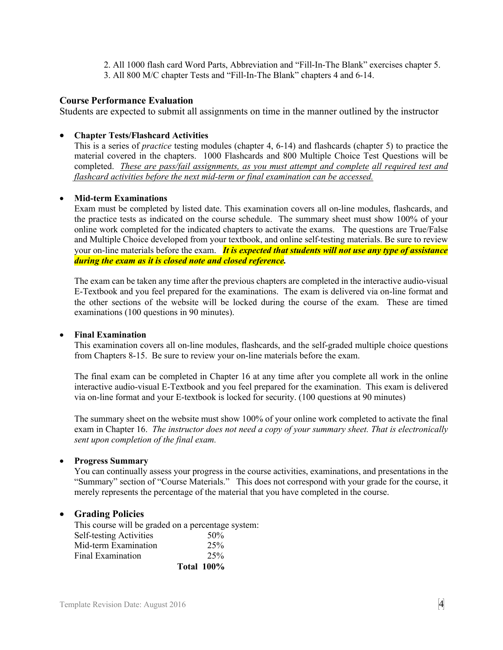2. All 1000 flash card Word Parts, Abbreviation and "Fill-In-The Blank" exercises chapter 5. 3. All 800 M/C chapter Tests and "Fill-In-The Blank" chapters 4 and 6-14.

### **Course Performance Evaluation**

Students are expected to submit all assignments on time in the manner outlined by the instructor

### • **Chapter Tests/Flashcard Activities**

This is a series of *practice* testing modules (chapter 4, 6-14) and flashcards (chapter 5) to practice the material covered in the chapters. 1000 Flashcards and 800 Multiple Choice Test Questions will be completed. *These are pass/fail assignments, as you must attempt and complete all required test and flashcard activities before the next mid-term or final examination can be accessed.* 

#### • **Mid-term Examinations**

Exam must be completed by listed date. This examination covers all on-line modules, flashcards, and the practice tests as indicated on the course schedule. The summary sheet must show 100% of your online work completed for the indicated chapters to activate the exams. The questions are True/False and Multiple Choice developed from your textbook, and online self-testing materials. Be sure to review your on-line materials before the exam. *It is expected that students will not use any type of assistance during the exam as it is closed note and closed reference.*

The exam can be taken any time after the previous chapters are completed in the interactive audio-visual E-Textbook and you feel prepared for the examinations. The exam is delivered via on-line format and the other sections of the website will be locked during the course of the exam. These are timed examinations (100 questions in 90 minutes).

#### • **Final Examination**

This examination covers all on-line modules, flashcards, and the self-graded multiple choice questions from Chapters 8-15. Be sure to review your on-line materials before the exam.

The final exam can be completed in Chapter 16 at any time after you complete all work in the online interactive audio-visual E-Textbook and you feel prepared for the examination. This exam is delivered via on-line format and your E-textbook is locked for security. (100 questions at 90 minutes)

The summary sheet on the website must show 100% of your online work completed to activate the final exam in Chapter 16. *The instructor does not need a copy of your summary sheet. That is electronically sent upon completion of the final exam.*

#### • **Progress Summary**

You can continually assess your progress in the course activities, examinations, and presentations in the "Summary" section of "Course Materials." This does not correspond with your grade for the course, it merely represents the percentage of the material that you have completed in the course.

#### • **Grading Policies**

This course will be graded on a percentage system: Self-testing Activities 50% Mid-term Examination 25% Final Examination 25%  **Total 100%**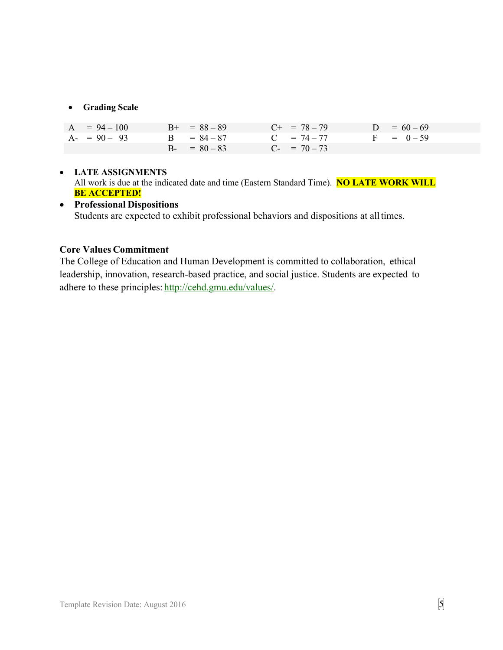### • **Grading Scale**

| $A = 94 - 100$ | $B_{+} = 88 - 89$ | $C_{+}$ = 78 - 79    | $D = 60 - 69$ |
|----------------|-------------------|----------------------|---------------|
| $A - 90 - 93$  | $B = 84 - 87$     | $C = 74 - 77$        | $F = 0-59$    |
|                | $B - = 80 - 83$   | $C_{\tau} = 70 - 73$ |               |

# • **LATE ASSIGNMENTS** All work is due at the indicated date and time (Eastern Standard Time). **NO LATE WORK WILL BE ACCEPTED!**

# • **Professional Dispositions** Students are expected to exhibit professional behaviors and dispositions at alltimes.

# **Core Values Commitment**

The College of Education and Human Development is committed to collaboration, ethical leadership, innovation, research-based practice, and social justice. Students are expected to adhere to these principles: http://cehd.gmu.edu/values/.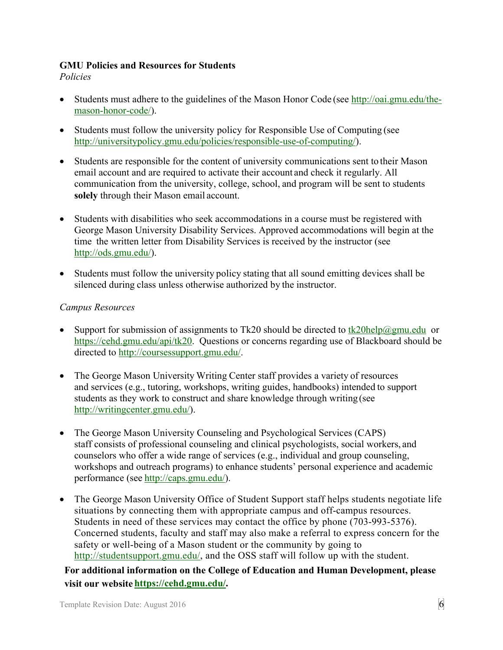# **GMU Policies and Resources for Students**

*Policies*

- Students must adhere to the guidelines of the Mason Honor Code (see http://oai.gmu.edu/themason-honor-code/).
- Students must follow the university policy for Responsible Use of Computing (see http://universitypolicy.gmu.edu/policies/responsible-use-of-computing/).
- Students are responsible for the content of university communications sent to their Mason email account and are required to activate their account and check it regularly. All communication from the university, college, school, and program will be sent to students **solely** through their Mason email account.
- Students with disabilities who seek accommodations in a course must be registered with George Mason University Disability Services. Approved accommodations will begin at the time the written letter from Disability Services is received by the instructor (see http://ods.gmu.edu/).
- Students must follow the university policy stating that all sound emitting devices shall be silenced during class unless otherwise authorized by the instructor.

# *Campus Resources*

- Support for submission of assignments to Tk20 should be directed to  $tk20$ help $@gmu$ .edu or https://cehd.gmu.edu/api/tk20. Questions or concerns regarding use of Blackboard should be directed to http://coursessupport.gmu.edu/.
- The George Mason University Writing Center staff provides a variety of resources and services (e.g., tutoring, workshops, writing guides, handbooks) intended to support students as they work to construct and share knowledge through writing (see http://writingcenter.gmu.edu/).
- The George Mason University Counseling and Psychological Services (CAPS) staff consists of professional counseling and clinical psychologists, social workers, and counselors who offer a wide range of services (e.g., individual and group counseling, workshops and outreach programs) to enhance students' personal experience and academic performance (see http://caps.gmu.edu/).
- The George Mason University Office of Student Support staff helps students negotiate life situations by connecting them with appropriate campus and off-campus resources. Students in need of these services may contact the office by phone (703-993-5376). Concerned students, faculty and staff may also make a referral to express concern for the safety or well-being of a Mason student or the community by going to http://studentsupport.gmu.edu/, and the OSS staff will follow up with the student.

**For additional information on the College of Education and Human Development, please visit our website https://cehd.gmu.edu/.**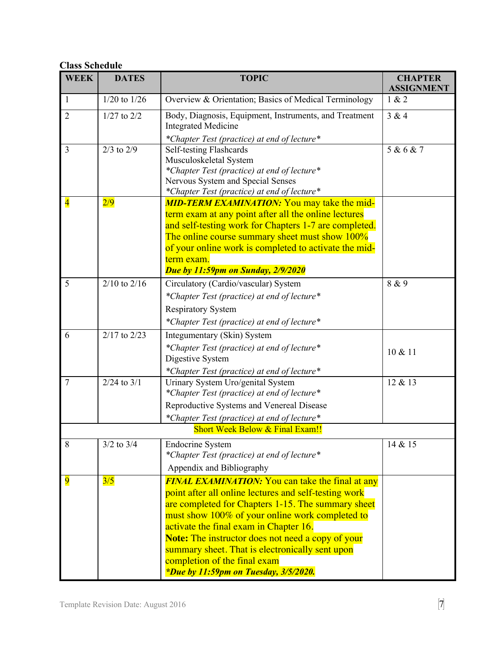# **Class Schedule**

| <b>WEEK</b>                     | <b>DATES</b>     | <b>TOPIC</b>                                                                                                                                                                                                                                                                                                                                                                                                                                                | <b>CHAPTER</b><br><b>ASSIGNMENT</b> |  |  |  |  |  |
|---------------------------------|------------------|-------------------------------------------------------------------------------------------------------------------------------------------------------------------------------------------------------------------------------------------------------------------------------------------------------------------------------------------------------------------------------------------------------------------------------------------------------------|-------------------------------------|--|--|--|--|--|
| $\mathbf{1}$                    | $1/20$ to $1/26$ | Overview & Orientation; Basics of Medical Terminology                                                                                                                                                                                                                                                                                                                                                                                                       | 1 & 2                               |  |  |  |  |  |
| $\overline{2}$                  | $1/27$ to $2/2$  | Body, Diagnosis, Equipment, Instruments, and Treatment<br><b>Integrated Medicine</b><br>*Chapter Test (practice) at end of lecture*                                                                                                                                                                                                                                                                                                                         | 3 & 4                               |  |  |  |  |  |
| 3                               | $2/3$ to $2/9$   | Self-testing Flashcards<br>Musculoskeletal System<br>*Chapter Test (practice) at end of lecture*<br>Nervous System and Special Senses<br>*Chapter Test (practice) at end of lecture*                                                                                                                                                                                                                                                                        | 5 & 6 & 7                           |  |  |  |  |  |
| $\overline{\mathbf{4}}$         | $\frac{2}{9}$    | <b>MID-TERM EXAMINATION:</b> You may take the mid-<br>term exam at any point after all the online lectures<br>and self-testing work for Chapters 1-7 are completed.<br>The online course summary sheet must show 100%<br>of your online work is completed to activate the mid-<br>term exam.<br><b>Due by 11:59pm on Sunday, 2/9/2020</b>                                                                                                                   |                                     |  |  |  |  |  |
| 5                               | $2/10$ to $2/16$ | Circulatory (Cardio/vascular) System<br>*Chapter Test (practice) at end of lecture*<br><b>Respiratory System</b><br>*Chapter Test (practice) at end of lecture*                                                                                                                                                                                                                                                                                             | 8 & 9                               |  |  |  |  |  |
| 6                               | $2/17$ to $2/23$ | Integumentary (Skin) System<br>*Chapter Test (practice) at end of lecture*<br>Digestive System<br>*Chapter Test (practice) at end of lecture*                                                                                                                                                                                                                                                                                                               | 10 & 11                             |  |  |  |  |  |
| $\overline{7}$                  | $2/24$ to $3/1$  | Urinary System Uro/genital System<br>*Chapter Test (practice) at end of lecture*<br>Reproductive Systems and Venereal Disease<br>*Chapter Test (practice) at end of lecture*                                                                                                                                                                                                                                                                                | 12 & 13                             |  |  |  |  |  |
| Short Week Below & Final Exam!! |                  |                                                                                                                                                                                                                                                                                                                                                                                                                                                             |                                     |  |  |  |  |  |
| 8                               | $3/2$ to $3/4$   | <b>Endocrine System</b><br>*Chapter Test (practice) at end of lecture*<br>Appendix and Bibliography                                                                                                                                                                                                                                                                                                                                                         | 14 & 15                             |  |  |  |  |  |
| $\overline{9}$                  | 3/5              | <b>FINAL EXAMINATION:</b> You can take the final at any<br>point after all online lectures and self-testing work<br>are completed for Chapters 1-15. The summary sheet<br>must show 100% of your online work completed to<br>activate the final exam in Chapter 16.<br><b>Note:</b> The instructor does not need a copy of your<br>summary sheet. That is electronically sent upon<br>completion of the final exam<br>*Due by 11:59pm on Tuesday, 3/5/2020. |                                     |  |  |  |  |  |